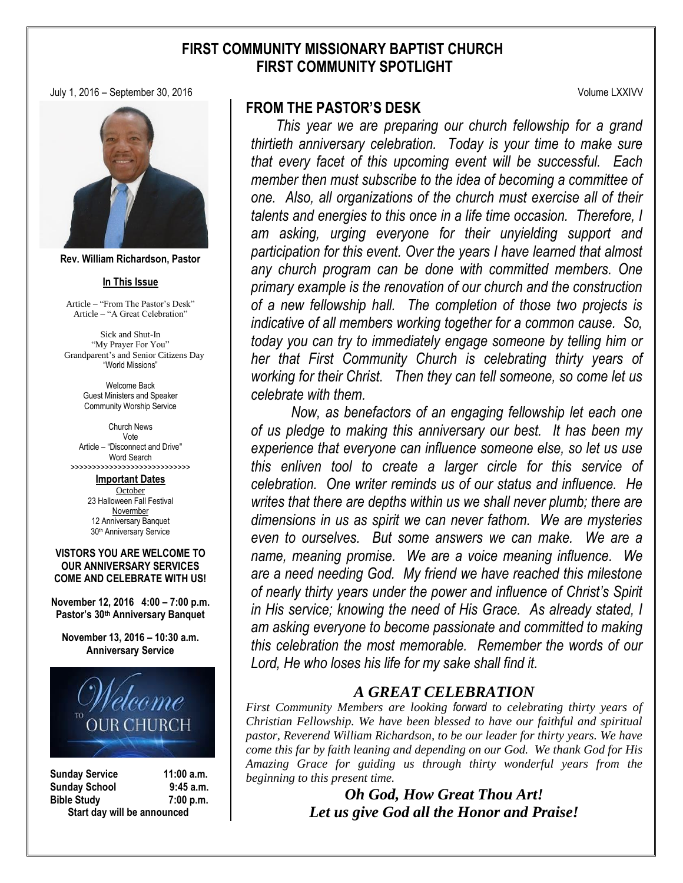# **FIRST COMMUNITY MISSIONARY BAPTIST CHURCH FIRST COMMUNITY SPOTLIGHT**

July 1, 2016 – September 30, 2016 Volume LXXIVV



**Rev. William Richardson, Pastor**

#### **In This Issue**

Article – "From The Pastor's Desk" Article – "A Great Celebration"

Sick and Shut-In "My Prayer For You" Grandparent's and Senior Citizens Day "World Missions"

> Welcome Back Guest Ministers and Speaker Community Worship Service

Church News Vote Article – "Disconnect and Drive" Word Search >>>>>>>>>>>>>>>>>>>>>>>>>>>>

> **Important Dates October** 23 Halloween Fall Festival Novermber 12 Anniversary Banquet 30th Anniversary Service

#### **VISTORS YOU ARE WELCOME TO OUR ANNIVERSARY SERVICES COME AND CELEBRATE WITH US!**

**November 12, 2016 4:00 – 7:00 p.m. Pastor's 30th Anniversary Banquet**

**November 13, 2016 – 10:30 a.m. Anniversary Service**



**Sunday Service 11:00 a.m. Sunday School 9:45 a.m. Bible Study 7:00 p.m. Start day will be announced**

# **FROM THE PASTOR'S DESK**

 *This year we are preparing our church fellowship for a grand thirtieth anniversary celebration. Today is your time to make sure that every facet of this upcoming event will be successful. Each member then must subscribe to the idea of becoming a committee of one. Also, all organizations of the church must exercise all of their talents and energies to this once in a life time occasion. Therefore, I am asking, urging everyone for their unyielding support and participation for this event. Over the years I have learned that almost any church program can be done with committed members. One primary example is the renovation of our church and the construction of a new fellowship hall. The completion of those two projects is indicative of all members working together for a common cause. So, today you can try to immediately engage someone by telling him or her that First Community Church is celebrating thirty years of working for their Christ. Then they can tell someone, so come let us celebrate with them.*

*Now, as benefactors of an engaging fellowship let each one of us pledge to making this anniversary our best. It has been my experience that everyone can influence someone else, so let us use this enliven tool to create a larger circle for this service of celebration. One writer reminds us of our status and influence. He writes that there are depths within us we shall never plumb; there are dimensions in us as spirit we can never fathom. We are mysteries even to ourselves. But some answers we can make. We are a name, meaning promise. We are a voice meaning influence. We are a need needing God. My friend we have reached this milestone of nearly thirty years under the power and influence of Christ's Spirit in His service; knowing the need of His Grace. As already stated, I am asking everyone to become passionate and committed to making this celebration the most memorable. Remember the words of our Lord, He who loses his life for my sake shall find it.*

# *A GREAT CELEBRATION*

*First Community Members are looking forward to celebrating thirty years of Christian Fellowship. We have been blessed to have our faithful and spiritual pastor, Reverend William Richardson, to be our leader for thirty years. We have come this far by faith leaning and depending on our God. We thank God for His Amazing Grace for guiding us through thirty wonderful years from the beginning to this present time.*

> *Oh God, How Great Thou Art! Let us give God all the Honor and Praise!*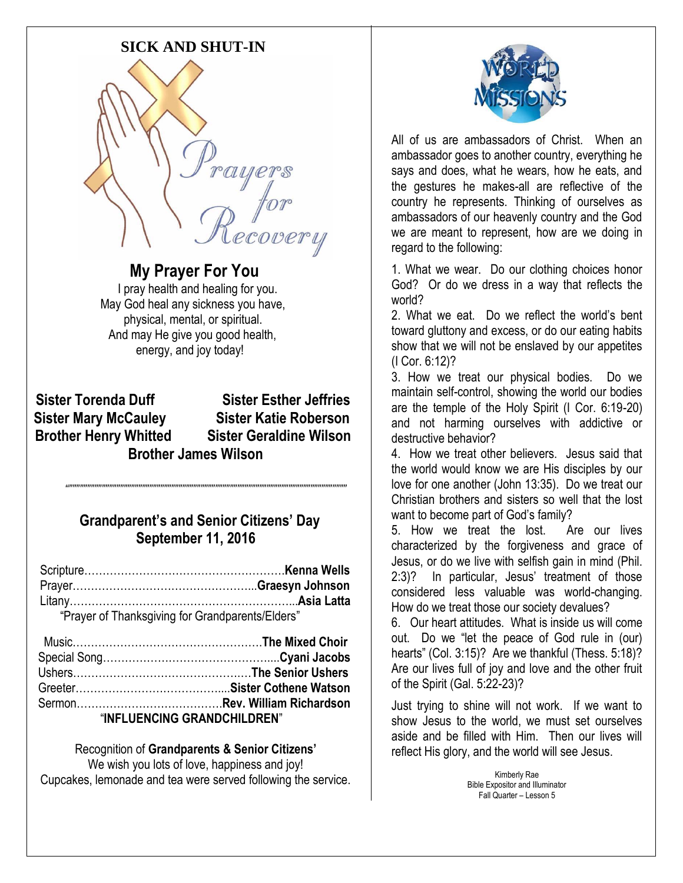# **SICK AND SHUT-IN**



 **My Prayer For You** I pray health and healing for you. May God heal any sickness you have, physical, mental, or spiritual. And may He give you good health, energy, and joy today!

**Sister Torenda Duff Sister Esther Jeffries Sister Mary McCauley Sister Katie Roberson Brother Henry Whitted Sister Geraldine Wilson Brother James Wilson**

# **Grandparent's and Senior Citizens' Day September 11, 2016**

 $\label{prop:main}$ 

| "Prayer of Thanksgiving for Grandparents/Elders" |  |
|--------------------------------------------------|--|

| "INFLUENCING GRANDCHILDREN" |  |
|-----------------------------|--|

Recognition of **Grandparents & Senior Citizens'** We wish you lots of love, happiness and joy! Cupcakes, lemonade and tea were served following the service.



All of us are ambassadors of Christ. When an ambassador goes to another country, everything he says and does, what he wears, how he eats, and the gestures he makes-all are reflective of the country he represents. Thinking of ourselves as ambassadors of our heavenly country and the God we are meant to represent, how are we doing in regard to the following:

1. What we wear. Do our clothing choices honor God? Or do we dress in a way that reflects the world?

2. What we eat. Do we reflect the world's bent toward gluttony and excess, or do our eating habits show that we will not be enslaved by our appetites (I Cor. 6:12)?

3. How we treat our physical bodies. Do we maintain self-control, showing the world our bodies are the temple of the Holy Spirit (I Cor. 6:19-20) and not harming ourselves with addictive or destructive behavior?

4. How we treat other believers. Jesus said that the world would know we are His disciples by our love for one another (John 13:35). Do we treat our Christian brothers and sisters so well that the lost want to become part of God's family?

5. How we treat the lost. Are our lives characterized by the forgiveness and grace of Jesus, or do we live with selfish gain in mind (Phil. 2:3)? In particular, Jesus' treatment of those considered less valuable was world-changing. How do we treat those our society devalues?

6. Our heart attitudes. What is inside us will come out. Do we "let the peace of God rule in (our) hearts" (Col. 3:15)? Are we thankful (Thess. 5:18)? Are our lives full of joy and love and the other fruit of the Spirit (Gal. 5:22-23)?

Just trying to shine will not work. If we want to show Jesus to the world, we must set ourselves aside and be filled with Him. Then our lives will reflect His glory, and the world will see Jesus.

> Kimberly Rae Bible Expositor and Illuminator Fall Quarter – Lesson 5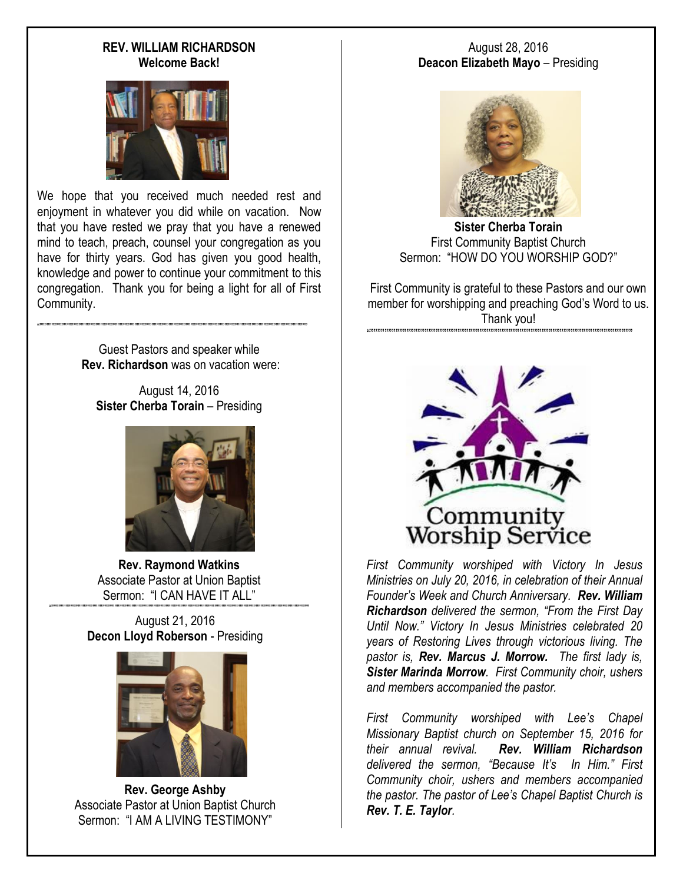#### **REV. WILLIAM RICHARDSON Welcome Back!**



We hope that you received much needed rest and enjoyment in whatever you did while on vacation. Now that you have rested we pray that you have a renewed mind to teach, preach, counsel your congregation as you have for thirty years. God has given you good health, knowledge and power to continue your commitment to this congregation. Thank you for being a light for all of First Community.

> Guest Pastors and speaker while **Rev. Richardson** was on vacation were:

"""""""""""""""""""""""""""""""""""""""""""""""""""""""""""""""""""""""""""""""""""""""""""""""""""""""""""""""

August 14, 2016 **Sister Cherba Torain** – Presiding



**Rev. Raymond Watkins** Associate Pastor at Union Baptist Sermon: "I CAN HAVE IT ALL"  $\label{prop:main}$ 

> August 21, 2016 **Decon Lloyd Roberson** - Presiding



**Rev. George Ashby** Associate Pastor at Union Baptist Church Sermon: "I AM A LIVING TESTIMONY"

#### August 28, 2016 **Deacon Elizabeth Mayo** – Presiding



**Sister Cherba Torain** First Community Baptist Church Sermon: "HOW DO YOU WORSHIP GOD?"

First Community is grateful to these Pastors and our own member for worshipping and preaching God's Word to us. Thank you! """""""""""""""""""""""""""""""""""""""""""""""""""""""""""""""""""""""""



*First Community worshiped with Victory In Jesus Ministries on July 20, 2016, in celebration of their Annual Founder's Week and Church Anniversary. Rev. William Richardson delivered the sermon, "From the First Day Until Now." Victory In Jesus Ministries celebrated 20 years of Restoring Lives through victorious living. The pastor is, Rev. Marcus J. Morrow. The first lady is, Sister Marinda Morrow. First Community choir, ushers and members accompanied the pastor.*

*First Community worshiped with Lee's Chapel Missionary Baptist church on September 15, 2016 for their annual revival. Rev. William Richardson delivered the sermon, "Because It's In Him." First Community choir, ushers and members accompanied the pastor. The pastor of Lee's Chapel Baptist Church is Rev. T. E. Taylor.*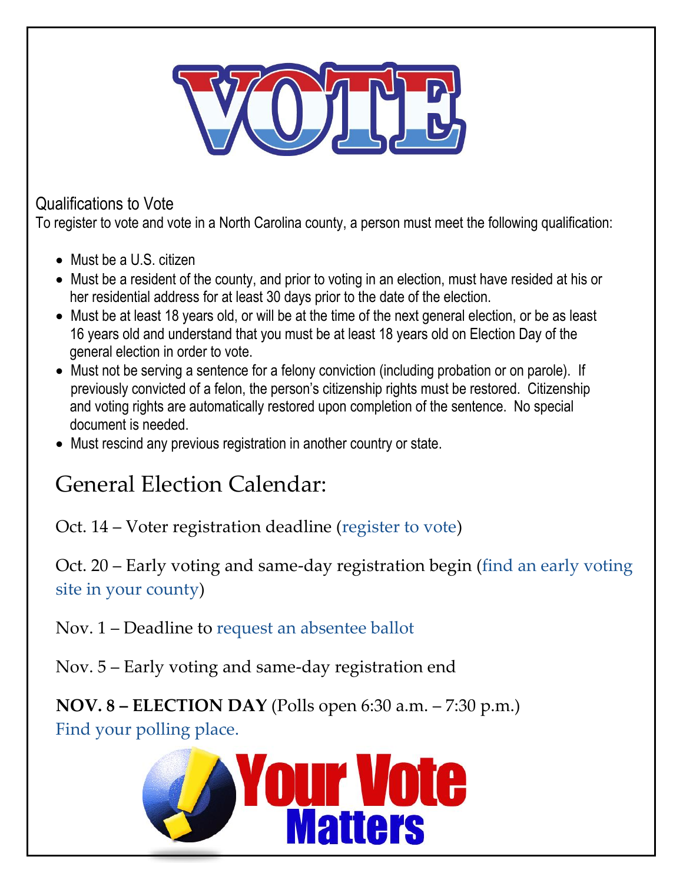

Qualifications to Vote

To register to vote and vote in a North Carolina county, a person must meet the following qualification:

- Must be a U.S. citizen
- Must be a resident of the county, and prior to voting in an election, must have resided at his or her residential address for at least 30 days prior to the date of the election.
- Must be at least 18 years old, or will be at the time of the next general election, or be as least 16 years old and understand that you must be at least 18 years old on Election Day of the general election in order to vote.
- Must not be serving a sentence for a felony conviction (including probation or on parole). If previously convicted of a felon, the person's citizenship rights must be restored. Citizenship and voting rights are automatically restored upon completion of the sentence. No special document is needed.
- Must rescind any previous registration in another country or state.

# General Election Calendar:

Oct. 14 – Voter registration deadline [\(register to vote\)](http://ncvoterguide.org/register/index.php)

Oct. 20 – Early voting and same-day registration begin [\(find an early voting](http://vt.ncsbe.gov/ossite/)  [site in your county\)](http://vt.ncsbe.gov/ossite/)

Nov. 1 – Deadline to [request an absentee ballot](http://www.ncsbe.gov/Voting/Absentee-Voting)

Nov. 5 – Early voting and same-day registration end

**NOV. 8 – ELECTION DAY** (Polls open 6:30 a.m. – 7:30 p.m.)

[Find your polling place.](http://enr.ncsbe.gov/pollingplace_search/)

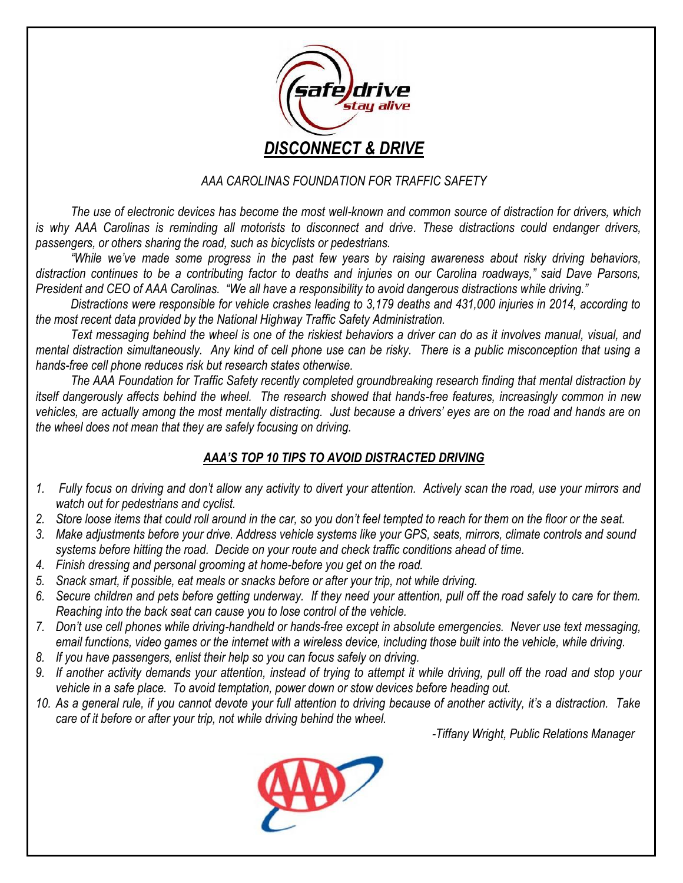

### *AAA CAROLINAS FOUNDATION FOR TRAFFIC SAFETY*

*The use of electronic devices has become the most well-known and common source of distraction for drivers, which is why AAA Carolinas is reminding all motorists to disconnect and drive. These distractions could endanger drivers, passengers, or others sharing the road, such as bicyclists or pedestrians.*

*"While we've made some progress in the past few years by raising awareness about risky driving behaviors, distraction continues to be a contributing factor to deaths and injuries on our Carolina roadways," said Dave Parsons, President and CEO of AAA Carolinas. "We all have a responsibility to avoid dangerous distractions while driving."*

*Distractions were responsible for vehicle crashes leading to 3,179 deaths and 431,000 injuries in 2014, according to the most recent data provided by the National Highway Traffic Safety Administration.*

*Text messaging behind the wheel is one of the riskiest behaviors a driver can do as it involves manual, visual, and mental distraction simultaneously. Any kind of cell phone use can be risky. There is a public misconception that using a hands-free cell phone reduces risk but research states otherwise.*

*The AAA Foundation for Traffic Safety recently completed groundbreaking research finding that mental distraction by itself dangerously affects behind the wheel. The research showed that hands-free features, increasingly common in new vehicles, are actually among the most mentally distracting. Just because a drivers' eyes are on the road and hands are on the wheel does not mean that they are safely focusing on driving.*

## *AAA'S TOP 10 TIPS TO AVOID DISTRACTED DRIVING*

- *1. Fully focus on driving and don't allow any activity to divert your attention. Actively scan the road, use your mirrors and watch out for pedestrians and cyclist.*
- *2. Store loose items that could roll around in the car, so you don't feel tempted to reach for them on the floor or the seat.*
- *3. Make adjustments before your drive. Address vehicle systems like your GPS, seats, mirrors, climate controls and sound systems before hitting the road. Decide on your route and check traffic conditions ahead of time.*
- *4. Finish dressing and personal grooming at home-before you get on the road.*
- *5. Snack smart, if possible, eat meals or snacks before or after your trip, not while driving.*
- *6. Secure children and pets before getting underway. If they need your attention, pull off the road safely to care for them. Reaching into the back seat can cause you to lose control of the vehicle.*
- *7. Don't use cell phones while driving-handheld or hands-free except in absolute emergencies. Never use text messaging, email functions, video games or the internet with a wireless device, including those built into the vehicle, while driving.*
- *8. If you have passengers, enlist their help so you can focus safely on driving.*
- *9. If another activity demands your attention, instead of trying to attempt it while driving, pull off the road and stop your vehicle in a safe place. To avoid temptation, power down or stow devices before heading out.*
- *10. As a general rule, if you cannot devote your full attention to driving because of another activity, it's a distraction. Take care of it before or after your trip, not while driving behind the wheel.*

*-Tiffany Wright, Public Relations Manager*

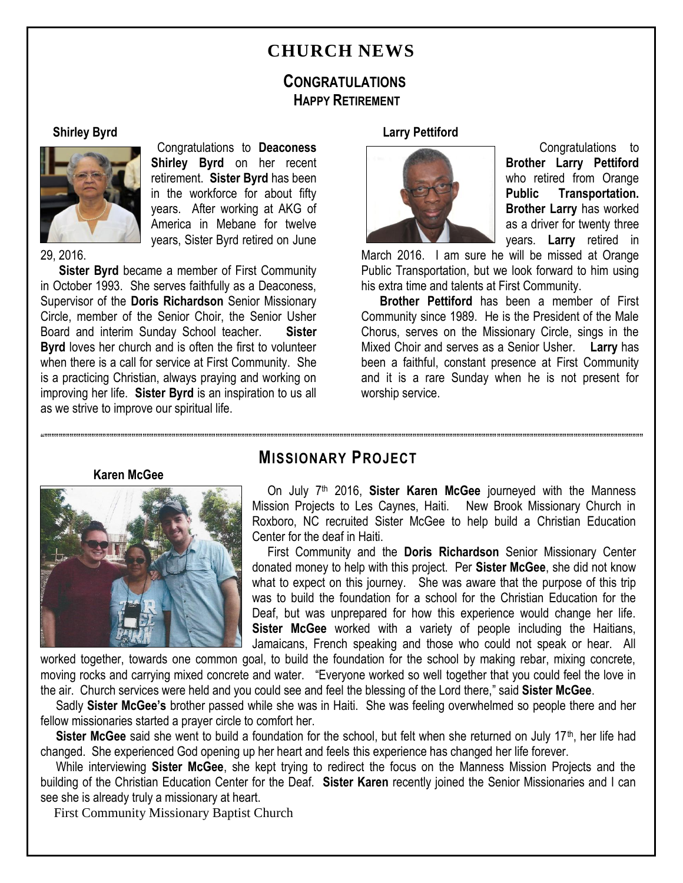# **CHURCH NEWS**

# **CONGRATULATIONS HAPPY RETIREMENT**

#### **Shirley Byrd**



 Congratulations to **Deaconess Shirley Byrd** on her recent retirement. **Sister Byrd** has been in the workforce for about fifty years. After working at AKG of America in Mebane for twelve years, Sister Byrd retired on June

29, 2016.

 **Sister Byrd** became a member of First Community in October 1993. She serves faithfully as a Deaconess, Supervisor of the **Doris Richardson** Senior Missionary Circle, member of the Senior Choir, the Senior Usher Board and interim Sunday School teacher. **Sister Byrd** loves her church and is often the first to volunteer when there is a call for service at First Community. She is a practicing Christian, always praying and working on improving her life. **Sister Byrd** is an inspiration to us all as we strive to improve our spiritual life.

#### **Larry Pettiford**



 Congratulations to **Brother Larry Pettiford** who retired from Orange **Public Transportation. Brother Larry** has worked as a driver for twenty three years. **Larry** retired in

March 2016. I am sure he will be missed at Orange Public Transportation, but we look forward to him using his extra time and talents at First Community.

 **Brother Pettiford** has been a member of First Community since 1989. He is the President of the Male Chorus, serves on the Missionary Circle, sings in the Mixed Choir and serves as a Senior Usher. **Larry** has been a faithful, constant presence at First Community and it is a rare Sunday when he is not present for worship service.

**Karen McGee**



# """"""""""""""""""""""""""""""""""""""""""""""""""""""""""""""""""""""""""""""""""""""""""""""""""""""""""""""""""""""""""""""""""""""""""""""""""""""""""""""""""""" **MISSIONARY PROJECT**

On July 7<sup>th</sup> 2016, Sister Karen McGee journeyed with the Manness Mission Projects to Les Caynes, Haiti. New Brook Missionary Church in Roxboro, NC recruited Sister McGee to help build a Christian Education Center for the deaf in Haiti.

 First Community and the **Doris Richardson** Senior Missionary Center donated money to help with this project. Per **Sister McGee**, she did not know what to expect on this journey. She was aware that the purpose of this trip was to build the foundation for a school for the Christian Education for the Deaf, but was unprepared for how this experience would change her life. **Sister McGee** worked with a variety of people including the Haitians, Jamaicans, French speaking and those who could not speak or hear. All

worked together, towards one common goal, to build the foundation for the school by making rebar, mixing concrete, moving rocks and carrying mixed concrete and water. "Everyone worked so well together that you could feel the love in the air. Church services were held and you could see and feel the blessing of the Lord there," said **Sister McGee**.

 Sadly **Sister McGee's** brother passed while she was in Haiti. She was feeling overwhelmed so people there and her fellow missionaries started a prayer circle to comfort her.

**Sister McGee** said she went to build a foundation for the school, but felt when she returned on July 17<sup>th</sup>, her life had changed. She experienced God opening up her heart and feels this experience has changed her life forever.

 While interviewing **Sister McGee**, she kept trying to redirect the focus on the Manness Mission Projects and the building of the Christian Education Center for the Deaf. **Sister Karen** recently joined the Senior Missionaries and I can see she is already truly a missionary at heart.

First Community Missionary Baptist Church